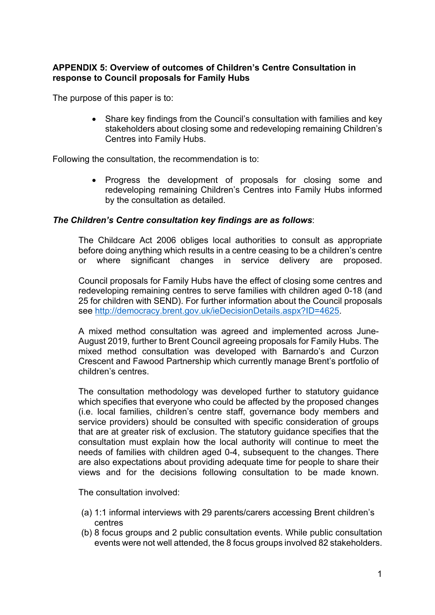# **APPENDIX 5: Overview of outcomes of Children's Centre Consultation in response to Council proposals for Family Hubs**

The purpose of this paper is to:

• Share key findings from the Council's consultation with families and key stakeholders about closing some and redeveloping remaining Children's Centres into Family Hubs.

Following the consultation, the recommendation is to:

• Progress the development of proposals for closing some and redeveloping remaining Children's Centres into Family Hubs informed by the consultation as detailed.

# *The Children's Centre consultation key findings are as follows*:

The Childcare Act 2006 obliges local authorities to consult as appropriate before doing anything which results in a centre ceasing to be a children's centre or where significant changes in service delivery are proposed.

Council proposals for Family Hubs have the effect of closing some centres and redeveloping remaining centres to serve families with children aged 0-18 (and 25 for children with SEND). For further information about the Council proposals see [http://democracy.brent.gov.uk/ieDecisionDetails.aspx?ID=4625.](http://democracy.brent.gov.uk/ieDecisionDetails.aspx?ID=4625)

A mixed method consultation was agreed and implemented across June-August 2019, further to Brent Council agreeing proposals for Family Hubs. The mixed method consultation was developed with Barnardo's and Curzon Crescent and Fawood Partnership which currently manage Brent's portfolio of children's centres.

The consultation methodology was developed further to statutory guidance which specifies that everyone who could be affected by the proposed changes (i.e. local families, children's centre staff, governance body members and service providers) should be consulted with specific consideration of groups that are at greater risk of exclusion. The statutory guidance specifies that the consultation must explain how the local authority will continue to meet the needs of families with children aged 0-4, subsequent to the changes. There are also expectations about providing adequate time for people to share their views and for the decisions following consultation to be made known.

The consultation involved:

- (a) 1:1 informal interviews with 29 parents/carers accessing Brent children's centres
- (b) 8 focus groups and 2 public consultation events. While public consultation events were not well attended, the 8 focus groups involved 82 stakeholders.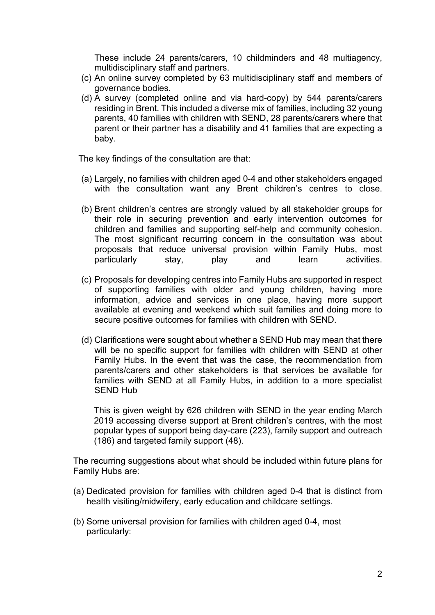These include 24 parents/carers, 10 childminders and 48 multiagency, multidisciplinary staff and partners.

- (c) An online survey completed by 63 multidisciplinary staff and members of governance bodies.
- (d) A survey (completed online and via hard-copy) by 544 parents/carers residing in Brent. This included a diverse mix of families, including 32 young parents, 40 families with children with SEND, 28 parents/carers where that parent or their partner has a disability and 41 families that are expecting a baby.

The key findings of the consultation are that:

- (a) Largely, no families with children aged 0-4 and other stakeholders engaged with the consultation want any Brent children's centres to close.
- (b) Brent children's centres are strongly valued by all stakeholder groups for their role in securing prevention and early intervention outcomes for children and families and supporting self-help and community cohesion. The most significant recurring concern in the consultation was about proposals that reduce universal provision within Family Hubs, most particularly stay, play and learn activities.
- (c) Proposals for developing centres into Family Hubs are supported in respect of supporting families with older and young children, having more information, advice and services in one place, having more support available at evening and weekend which suit families and doing more to secure positive outcomes for families with children with SEND.
- (d) Clarifications were sought about whether a SEND Hub may mean that there will be no specific support for families with children with SEND at other Family Hubs. In the event that was the case, the recommendation from parents/carers and other stakeholders is that services be available for families with SEND at all Family Hubs, in addition to a more specialist SEND Hub

This is given weight by 626 children with SEND in the year ending March 2019 accessing diverse support at Brent children's centres, with the most popular types of support being day-care (223), family support and outreach (186) and targeted family support (48).

The recurring suggestions about what should be included within future plans for Family Hubs are:

- (a) Dedicated provision for families with children aged 0-4 that is distinct from health visiting/midwifery, early education and childcare settings.
- (b) Some universal provision for families with children aged 0-4, most particularly: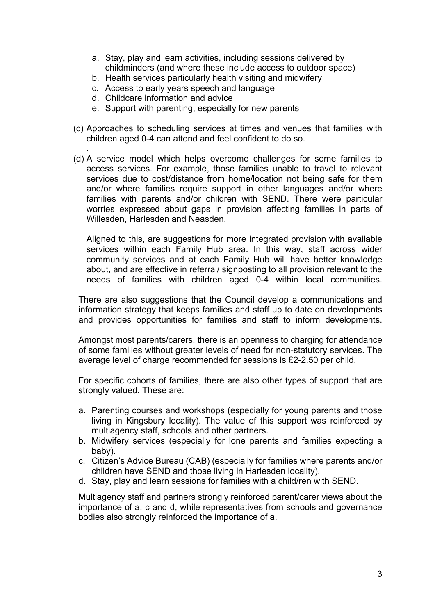- a. Stay, play and learn activities, including sessions delivered by childminders (and where these include access to outdoor space)
- b. Health services particularly health visiting and midwifery
- c. Access to early years speech and language
- d. Childcare information and advice

.

- e. Support with parenting, especially for new parents
- (c) Approaches to scheduling services at times and venues that families with children aged 0-4 can attend and feel confident to do so.
- (d) A service model which helps overcome challenges for some families to access services. For example, those families unable to travel to relevant services due to cost/distance from home/location not being safe for them and/or where families require support in other languages and/or where families with parents and/or children with SEND. There were particular worries expressed about gaps in provision affecting families in parts of Willesden, Harlesden and Neasden.

Aligned to this, are suggestions for more integrated provision with available services within each Family Hub area. In this way, staff across wider community services and at each Family Hub will have better knowledge about, and are effective in referral/ signposting to all provision relevant to the needs of families with children aged 0-4 within local communities.

There are also suggestions that the Council develop a communications and information strategy that keeps families and staff up to date on developments and provides opportunities for families and staff to inform developments.

Amongst most parents/carers, there is an openness to charging for attendance of some families without greater levels of need for non-statutory services. The average level of charge recommended for sessions is £2-2.50 per child.

For specific cohorts of families, there are also other types of support that are strongly valued. These are:

- a. Parenting courses and workshops (especially for young parents and those living in Kingsbury locality). The value of this support was reinforced by multiagency staff, schools and other partners.
- b. Midwifery services (especially for lone parents and families expecting a baby).
- c. Citizen's Advice Bureau (CAB) (especially for families where parents and/or children have SEND and those living in Harlesden locality).
- d. Stay, play and learn sessions for families with a child/ren with SEND.

Multiagency staff and partners strongly reinforced parent/carer views about the importance of a, c and d, while representatives from schools and governance bodies also strongly reinforced the importance of a.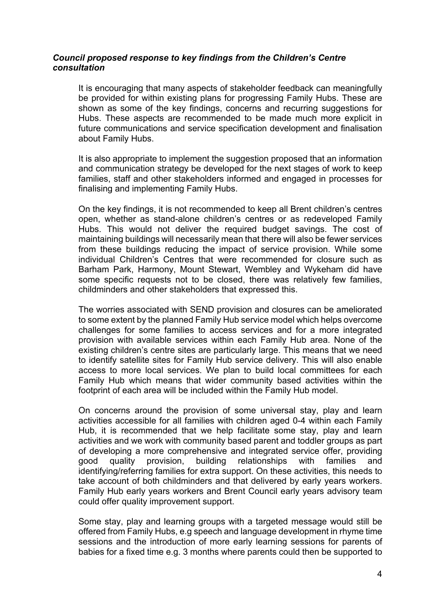# *Council proposed response to key findings from the Children's Centre consultation*

It is encouraging that many aspects of stakeholder feedback can meaningfully be provided for within existing plans for progressing Family Hubs. These are shown as some of the key findings, concerns and recurring suggestions for Hubs. These aspects are recommended to be made much more explicit in future communications and service specification development and finalisation about Family Hubs.

It is also appropriate to implement the suggestion proposed that an information and communication strategy be developed for the next stages of work to keep families, staff and other stakeholders informed and engaged in processes for finalising and implementing Family Hubs.

On the key findings, it is not recommended to keep all Brent children's centres open, whether as stand-alone children's centres or as redeveloped Family Hubs. This would not deliver the required budget savings. The cost of maintaining buildings will necessarily mean that there will also be fewer services from these buildings reducing the impact of service provision. While some individual Children's Centres that were recommended for closure such as Barham Park, Harmony, Mount Stewart, Wembley and Wykeham did have some specific requests not to be closed, there was relatively few families, childminders and other stakeholders that expressed this.

The worries associated with SEND provision and closures can be ameliorated to some extent by the planned Family Hub service model which helps overcome challenges for some families to access services and for a more integrated provision with available services within each Family Hub area. None of the existing children's centre sites are particularly large. This means that we need to identify satellite sites for Family Hub service delivery. This will also enable access to more local services. We plan to build local committees for each Family Hub which means that wider community based activities within the footprint of each area will be included within the Family Hub model.

On concerns around the provision of some universal stay, play and learn activities accessible for all families with children aged 0-4 within each Family Hub, it is recommended that we help facilitate some stay, play and learn activities and we work with community based parent and toddler groups as part of developing a more comprehensive and integrated service offer, providing good quality provision, building relationships with families and identifying/referring families for extra support. On these activities, this needs to take account of both childminders and that delivered by early years workers. Family Hub early years workers and Brent Council early years advisory team could offer quality improvement support.

Some stay, play and learning groups with a targeted message would still be offered from Family Hubs, e.g speech and language development in rhyme time sessions and the introduction of more early learning sessions for parents of babies for a fixed time e.g. 3 months where parents could then be supported to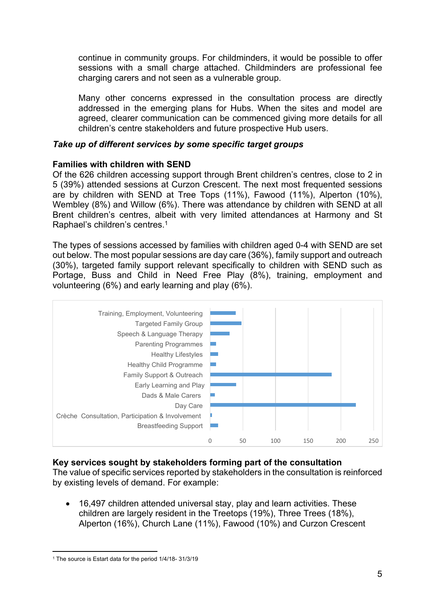continue in community groups. For childminders, it would be possible to offer sessions with a small charge attached. Childminders are professional fee charging carers and not seen as a vulnerable group.

Many other concerns expressed in the consultation process are directly addressed in the emerging plans for Hubs. When the sites and model are agreed, clearer communication can be commenced giving more details for all children's centre stakeholders and future prospective Hub users.

# *Take up of different services by some specific target groups*

# **Families with children with SEND**

Of the 626 children accessing support through Brent children's centres, close to 2 in 5 (39%) attended sessions at Curzon Crescent. The next most frequented sessions are by children with SEND at Tree Tops (11%), Fawood (11%), Alperton (10%), Wembley (8%) and Willow (6%). There was attendance by children with SEND at all Brent children's centres, albeit with very limited attendances at Harmony and St Raphael's children's centres.<sup>1</sup>

The types of sessions accessed by families with children aged 0-4 with SEND are set out below. The most popular sessions are day care (36%), family support and outreach (30%), targeted family support relevant specifically to children with SEND such as Portage, Buss and Child in Need Free Play (8%), training, employment and volunteering (6%) and early learning and play (6%).



**Key services sought by stakeholders forming part of the consultation** The value of specific services reported by stakeholders in the consultation is reinforced by existing levels of demand. For example:

• 16,497 children attended universal stay, play and learn activities. These children are largely resident in the Treetops (19%), Three Trees (18%), Alperton (16%), Church Lane (11%), Fawood (10%) and Curzon Crescent

<sup>1</sup> The source is Estart data for the period 1/4/18- 31/3/19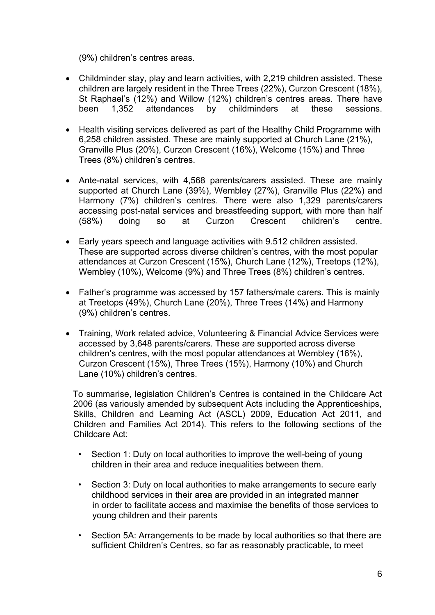(9%) children's centres areas.

- Childminder stay, play and learn activities, with 2,219 children assisted. These children are largely resident in the Three Trees (22%), Curzon Crescent (18%), St Raphael's (12%) and Willow (12%) children's centres areas. There have been 1,352 attendances by childminders at these sessions.
- Health visiting services delivered as part of the Healthy Child Programme with 6,258 children assisted. These are mainly supported at Church Lane (21%), Granville Plus (20%), Curzon Crescent (16%), Welcome (15%) and Three Trees (8%) children's centres.
- Ante-natal services, with 4,568 parents/carers assisted. These are mainly supported at Church Lane (39%), Wembley (27%), Granville Plus (22%) and Harmony (7%) children's centres. There were also 1,329 parents/carers accessing post-natal services and breastfeeding support, with more than half (58%) doing so at Curzon Crescent children's centre.
- Early years speech and language activities with 9.512 children assisted. These are supported across diverse children's centres, with the most popular attendances at Curzon Crescent (15%), Church Lane (12%), Treetops (12%), Wembley (10%), Welcome (9%) and Three Trees (8%) children's centres.
- Father's programme was accessed by 157 fathers/male carers. This is mainly at Treetops (49%), Church Lane (20%), Three Trees (14%) and Harmony (9%) children's centres.
- Training, Work related advice, Volunteering & Financial Advice Services were accessed by 3,648 parents/carers. These are supported across diverse children's centres, with the most popular attendances at Wembley (16%), Curzon Crescent (15%), Three Trees (15%), Harmony (10%) and Church Lane (10%) children's centres.

To summarise, legislation Children's Centres is contained in the Childcare Act 2006 (as variously amended by subsequent Acts including the Apprenticeships, Skills, Children and Learning Act (ASCL) 2009, Education Act 2011, and Children and Families Act 2014). This refers to the following sections of the Childcare Act:

- Section 1: Duty on local authorities to improve the well-being of young children in their area and reduce inequalities between them.
- Section 3: Duty on local authorities to make arrangements to secure early childhood services in their area are provided in an integrated manner in order to facilitate access and maximise the benefits of those services to young children and their parents
- Section 5A: Arrangements to be made by local authorities so that there are sufficient Children's Centres, so far as reasonably practicable, to meet